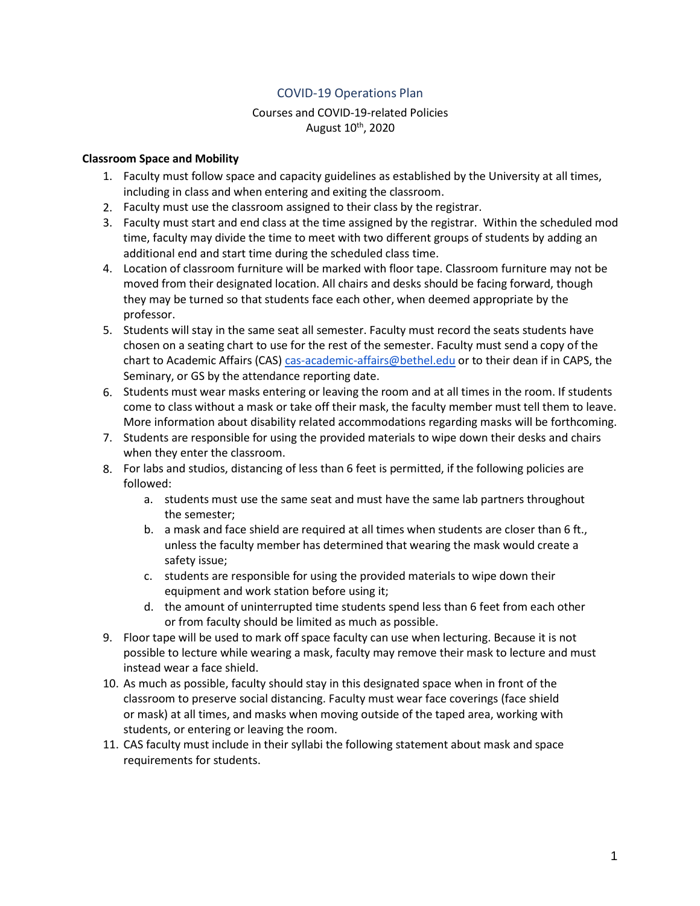# COVID-19 Operations Plan

# Courses and COVID-19-related Policies August 10<sup>th</sup>, 2020

#### **Classroom Space and Mobility**

- 1. Faculty must follow space and capacity guidelines as established by the University at all times, including in class and when entering and exiting the classroom.
- 2. Faculty must use the classroom assigned to their class by the registrar.
- 3. Faculty must start and end class at the time assigned by the registrar. Within the scheduled mod time, faculty may divide the time to meet with two different groups of students by adding an additional end and start time during the scheduled class time.
- 4. Location of classroom furniture will be marked with floor tape. Classroom furniture may not be moved from their designated location. All chairs and desks should be facing forward, though they may be turned so that students face each other, when deemed appropriate by the professor.
- 5. Students will stay in the same seat all semester. Faculty must record the seats students have chosen on a seating chart to use for the rest of the semester. Faculty must send a copy of the chart to Academic Affairs (CAS) [cas-academic-affairs@bethel.edu](mailto:cas-academic-affairs@bethel.edu) or to their dean if in CAPS, the Seminary, or GS by the attendance reporting date.
- 6. Students must wear masks entering or leaving the room and at all times in the room. If students come to class without a mask or take off their mask, the faculty member must tell them to leave. More information about disability related accommodations regarding masks will be forthcoming.
- 7. Students are responsible for using the provided materials to wipe down their desks and chairs when they enter the classroom.
- 8. For labs and studios, distancing of less than 6 feet is permitted, if the following policies are followed:
	- a. students must use the same seat and must have the same lab partners throughout the semester;
	- b. a mask and face shield are required at all times when students are closer than 6 ft., unless the faculty member has determined that wearing the mask would create a safety issue;
	- c. students are responsible for using the provided materials to wipe down their equipment and work station before using it;
	- d. the amount of uninterrupted time students spend less than 6 feet from each other or from faculty should be limited as much as possible.
- 9. Floor tape will be used to mark off space faculty can use when lecturing. Because it is not possible to lecture while wearing a mask, faculty may remove their mask to lecture and must instead wear a face shield.
- 10. As much as possible, faculty should stay in this designated space when in front of the classroom to preserve social distancing. Faculty must wear face coverings (face shield or mask) at all times, and masks when moving outside of the taped area, working with students, or entering or leaving the room.
- 11. CAS faculty must include in their syllabi the following statement about mask and space requirements for students.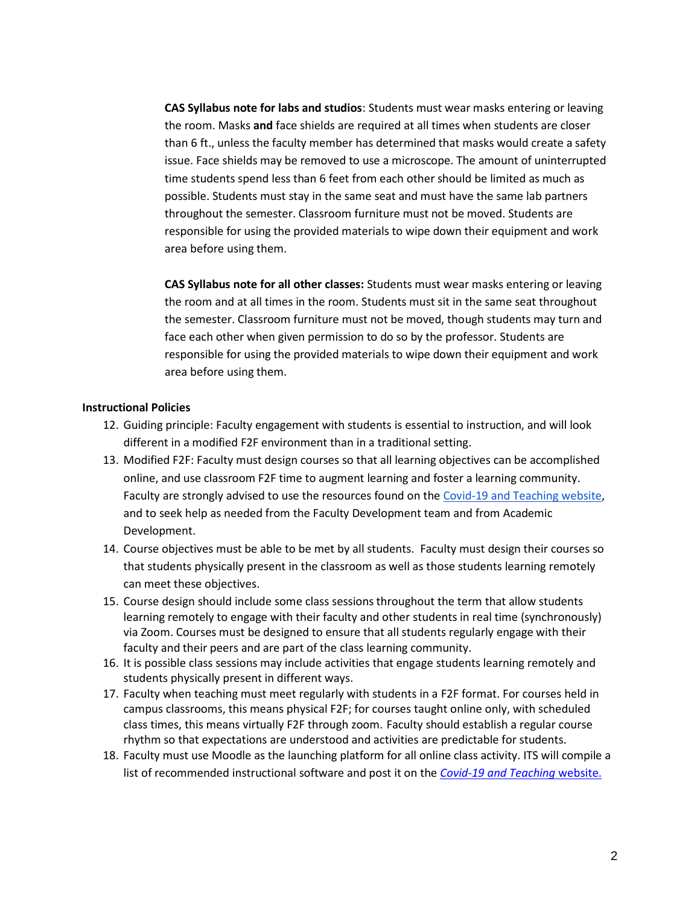**CAS Syllabus note for labs and studios**: Students must wear masks entering or leaving the room. Masks **and** face shields are required at all times when students are closer than 6 ft., unless the faculty member has determined that masks would create a safety issue. Face shields may be removed to use a microscope. The amount of uninterrupted time students spend less than 6 feet from each other should be limited as much as possible. Students must stay in the same seat and must have the same lab partners throughout the semester. Classroom furniture must not be moved. Students are responsible for using the provided materials to wipe down their equipment and work area before using them.

**CAS Syllabus note for all other classes:** Students must wear masks entering or leaving the room and at all times in the room. Students must sit in the same seat throughout the semester. Classroom furniture must not be moved, though students may turn and face each other when given permission to do so by the professor. Students are responsible for using the provided materials to wipe down their equipment and work area before using them.

#### **Instructional Policies**

- 12. Guiding principle: Faculty engagement with students is essential to instruction, and will look different in a modified F2F environment than in a traditional setting.
- 13. Modified F2F: Faculty must design courses so that all learning objectives can be accomplished online, and use classroom F2F time to augment learning and foster a learning community. Faculty are strongly advised to use the resources found on th[e Covid-19](https://www.bethel.edu/faculty-development/fall-2020-covid-19-and-teaching) and Teaching website, and to seek help as needed from the Faculty Development team and from Academic Development.
- 14. Course objectives must be able to be met by all students. Faculty must design their courses so that students physically present in the classroom as well as those students learning remotely can meet these objectives.
- 15. Course design should include some class sessions throughout the term that allow students learning remotely to engage with their faculty and other students in real time (synchronously) via Zoom. Courses must be designed to ensure that all students regularly engage with their faculty and their peers and are part of the class learning community.
- 16. It is possible class sessions may include activities that engage students learning remotely and students physically present in different ways.
- 17. Faculty when teaching must meet regularly with students in a F2F format. For courses held in campus classrooms, this means physical F2F; for courses taught online only, with scheduled class times, this means virtually F2F through zoom. Faculty should establish a regular course rhythm so that expectations are understood and activities are predictable for students.
- 18. Faculty must use Moodle as the launching platform for all online class activity. ITS will compile a list of recommended instructional software and post it on the *Covid-19 and [Teaching](https://www.bethel.edu/faculty-development/fall-2020-covid-19-and-teaching)* website.